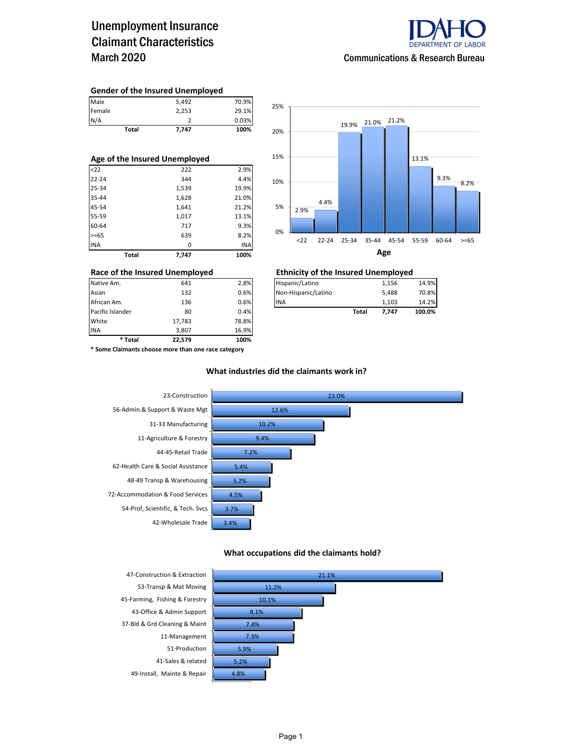## Unemployment Insurance Claimant Characteristics March 2020



#### **Gender of the Insured Unemployed**

|        | Total | 7.747 | 100%  |
|--------|-------|-------|-------|
| N/A    |       |       | 0.03% |
| Female |       | 2,253 | 29.1% |
| Male   |       | 5.492 | 70.9% |

| Age of the Insured Unemployed |       |       |            |  |  |  |  |  |
|-------------------------------|-------|-------|------------|--|--|--|--|--|
| $22$                          |       | 222   | 2.9%       |  |  |  |  |  |
| $22 - 24$                     |       | 344   | 4.4%       |  |  |  |  |  |
| 25-34                         |       | 1,539 | 19.9%      |  |  |  |  |  |
| 35-44                         |       | 1,628 | 21.0%      |  |  |  |  |  |
| 45-54                         |       | 1,641 | 21.2%      |  |  |  |  |  |
| 55-59                         |       | 1,017 | 13.1%      |  |  |  |  |  |
| 60-64                         |       | 717   | 9.3%       |  |  |  |  |  |
| $>= 65$                       |       | 639   | 8.2%       |  |  |  |  |  |
| <b>INA</b>                    |       | 0     | <b>INA</b> |  |  |  |  |  |
|                               | Total | 7.747 | 100%       |  |  |  |  |  |



| * Total          | 22.579 | 100%  |                     |       |       |        |
|------------------|--------|-------|---------------------|-------|-------|--------|
| <b>INA</b>       | 3.807  | 16.9% |                     |       |       |        |
| White            | 17,783 | 78.8% |                     |       |       |        |
| Pacific Islander | 80     | 0.4%  |                     | Total | 7.747 | 100.0% |
| African Am.      | 136    | 0.6%  | <b>INA</b>          |       | 1.103 | 14.2%  |
| Asian            | 132    | 0.6%  | Non-Hispanic/Latino |       | 5,488 | 70.8%  |
| Native Am.       | 641    | 2.8%  | Hispanic/Latino     |       | 1,156 | 14.9%  |

### **Race of the Insured Unemployed Ethnicity of the Insured Unemployed**

| Native Am.       | 641 | 2.8% | Hispanic/Latino     |       | 1.156 | 14.9%  |
|------------------|-----|------|---------------------|-------|-------|--------|
| Asian            | 132 | 0.6% | Non-Hispanic/Latino |       | 5.488 | 70.8%  |
| African Am.      | 136 | 0.6% | <b>IINA</b>         |       | 1.103 | 14.2%  |
| Pacific Islander | 80  | 0.4% |                     | Total | 7.747 | 100.0% |

**\* Some Claimants choose more than one race category**

### **What industries did the claimants work in?**



#### **What occupations did the claimants hold?**

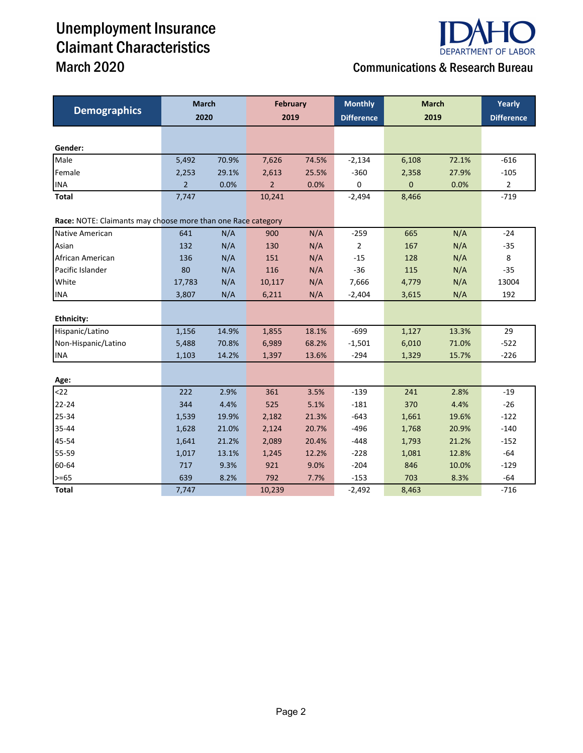## Unemployment Insurance Claimant Characteristics March 2020 Communications & Research Bureau



|                                                              | <b>March</b>   |       | <b>February</b> |       | <b>Monthly</b>    | <b>March</b> | Yearly |                   |
|--------------------------------------------------------------|----------------|-------|-----------------|-------|-------------------|--------------|--------|-------------------|
| <b>Demographics</b>                                          | 2020           |       | 2019            |       | <b>Difference</b> | 2019         |        | <b>Difference</b> |
|                                                              |                |       |                 |       |                   |              |        |                   |
| Gender:                                                      |                |       |                 |       |                   |              |        |                   |
| Male                                                         | 5,492          | 70.9% | 7,626           | 74.5% | $-2,134$          | 6,108        | 72.1%  | $-616$            |
| Female                                                       | 2,253          | 29.1% | 2,613           | 25.5% | $-360$            | 2,358        | 27.9%  | $-105$            |
| <b>INA</b>                                                   | $\overline{2}$ | 0.0%  | $\overline{2}$  | 0.0%  | $\mathsf 0$       | $\mathbf 0$  | 0.0%   | $\mathbf{2}$      |
| Total                                                        | 7,747          |       | 10,241          |       | $-2,494$          | 8,466        |        | $-719$            |
| Race: NOTE: Claimants may choose more than one Race category |                |       |                 |       |                   |              |        |                   |
| Native American                                              | 641            | N/A   | 900             | N/A   | $-259$            | 665          | N/A    | $-24$             |
| Asian                                                        | 132            | N/A   | 130             | N/A   | $\overline{2}$    | 167          | N/A    | $-35$             |
| African American                                             | 136            | N/A   | 151             | N/A   | $-15$             | 128          | N/A    | 8                 |
| Pacific Islander                                             | 80             | N/A   | 116             | N/A   | $-36$             | 115          | N/A    | $-35$             |
| White                                                        | 17,783         | N/A   | 10,117          | N/A   | 7,666             | 4,779        | N/A    | 13004             |
| <b>INA</b>                                                   | 3,807          | N/A   | 6,211           | N/A   | $-2,404$          | 3,615        | N/A    | 192               |
|                                                              |                |       |                 |       |                   |              |        |                   |
| <b>Ethnicity:</b>                                            |                |       |                 |       |                   |              |        |                   |
| Hispanic/Latino                                              | 1,156          | 14.9% | 1,855           | 18.1% | $-699$            | 1,127        | 13.3%  | 29                |
| Non-Hispanic/Latino                                          | 5,488          | 70.8% | 6,989           | 68.2% | $-1,501$          | 6,010        | 71.0%  | $-522$            |
| <b>INA</b>                                                   | 1,103          | 14.2% | 1,397           | 13.6% | $-294$            | 1,329        | 15.7%  | $-226$            |
|                                                              |                |       |                 |       |                   |              |        |                   |
| Age:                                                         |                |       |                 |       |                   |              |        |                   |
| 22                                                           | 222            | 2.9%  | 361             | 3.5%  | $-139$            | 241          | 2.8%   | $-19$             |
| $22 - 24$                                                    | 344            | 4.4%  | 525             | 5.1%  | $-181$            | 370          | 4.4%   | $-26$             |
| 25-34                                                        | 1,539          | 19.9% | 2,182           | 21.3% | $-643$            | 1,661        | 19.6%  | $-122$            |
| 35-44                                                        | 1,628          | 21.0% | 2,124           | 20.7% | $-496$            | 1,768        | 20.9%  | $-140$            |
| 45-54                                                        | 1,641          | 21.2% | 2,089           | 20.4% | $-448$            | 1,793        | 21.2%  | $-152$            |
| 55-59                                                        | 1,017          | 13.1% | 1,245           | 12.2% | $-228$            | 1,081        | 12.8%  | $-64$             |
| 60-64                                                        | 717            | 9.3%  | 921             | 9.0%  | $-204$            | 846          | 10.0%  | $-129$            |
| $>= 65$                                                      | 639            | 8.2%  | 792             | 7.7%  | $-153$            | 703          | 8.3%   | $-64$             |
| Total                                                        | 7,747          |       | 10,239          |       | $-2,492$          | 8,463        |        | $-716$            |